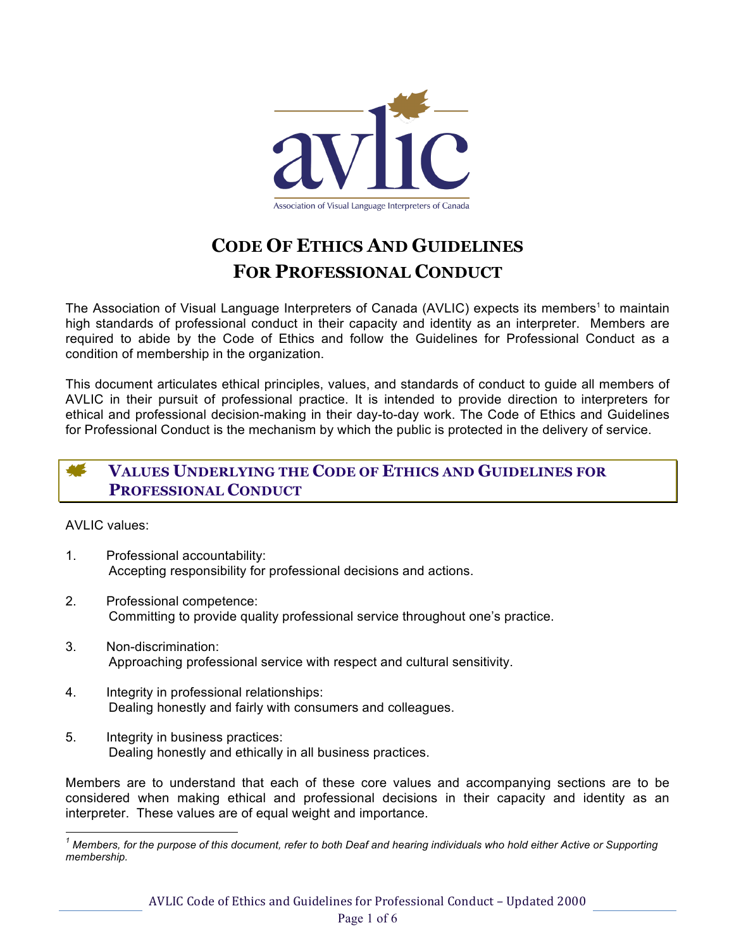

# **CODE OF ETHICS AND GUIDELINES FOR PROFESSIONAL CONDUCT**

The Association of Visual Language Interpreters of Canada (AVLIC) expects its members<sup>1</sup> to maintain high standards of professional conduct in their capacity and identity as an interpreter. Members are required to abide by the Code of Ethics and follow the Guidelines for Professional Conduct as a condition of membership in the organization.

This document articulates ethical principles, values, and standards of conduct to guide all members of AVLIC in their pursuit of professional practice. It is intended to provide direction to interpreters for ethical and professional decision-making in their day-to-day work. The Code of Ethics and Guidelines for Professional Conduct is the mechanism by which the public is protected in the delivery of service.

# **VALUES UNDERLYING THE CODE OF ETHICS AND GUIDELINES FOR PROFESSIONAL CONDUCT**

AVLIC values:

- 1. Professional accountability: Accepting responsibility for professional decisions and actions.
- 2. Professional competence: Committing to provide quality professional service throughout one's practice.
- 3. Non-discrimination: Approaching professional service with respect and cultural sensitivity.
- 4. Integrity in professional relationships: Dealing honestly and fairly with consumers and colleagues.
- 5. Integrity in business practices: Dealing honestly and ethically in all business practices.

Members are to understand that each of these core values and accompanying sections are to be considered when making ethical and professional decisions in their capacity and identity as an interpreter. These values are of equal weight and importance.

*<sup>1</sup> Members, for the purpose of this document, refer to both Deaf and hearing individuals who hold either Active or Supporting membership.*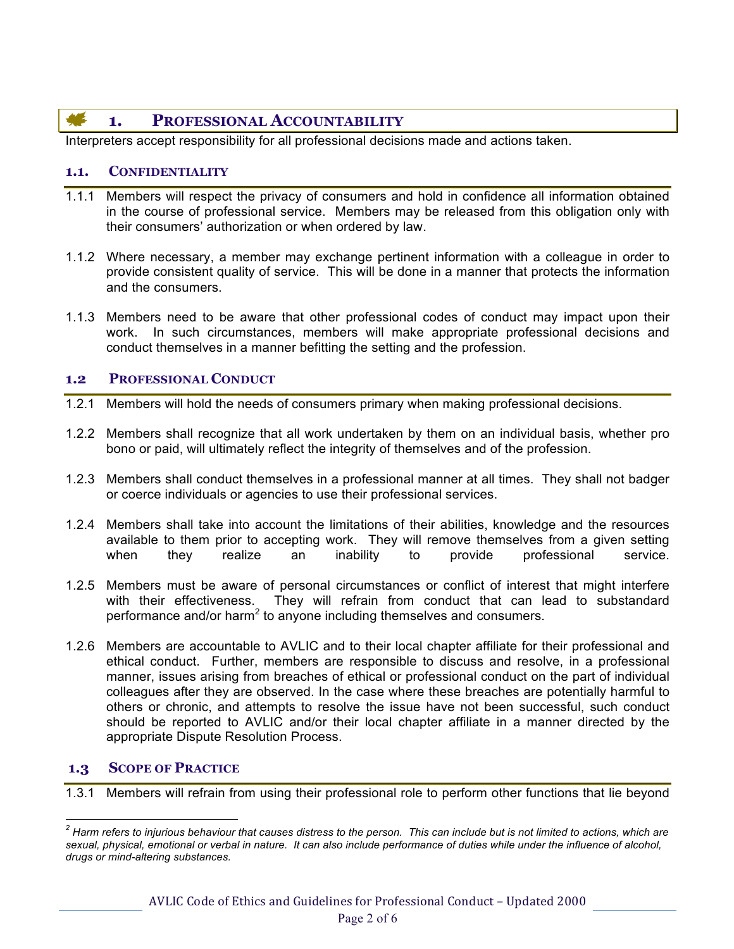## **1. PROFESSIONAL ACCOUNTABILITY**

Interpreters accept responsibility for all professional decisions made and actions taken.

### **1.1. CONFIDENTIALITY**

- 1.1.1 Members will respect the privacy of consumers and hold in confidence all information obtained in the course of professional service. Members may be released from this obligation only with their consumers' authorization or when ordered by law.
- 1.1.2 Where necessary, a member may exchange pertinent information with a colleague in order to provide consistent quality of service. This will be done in a manner that protects the information and the consumers.
- 1.1.3 Members need to be aware that other professional codes of conduct may impact upon their work. In such circumstances, members will make appropriate professional decisions and conduct themselves in a manner befitting the setting and the profession.

#### **1.2 PROFESSIONAL CONDUCT**

- 1.2.1 Members will hold the needs of consumers primary when making professional decisions.
- 1.2.2 Members shall recognize that all work undertaken by them on an individual basis, whether pro bono or paid, will ultimately reflect the integrity of themselves and of the profession.
- 1.2.3 Members shall conduct themselves in a professional manner at all times. They shall not badger or coerce individuals or agencies to use their professional services.
- 1.2.4 Members shall take into account the limitations of their abilities, knowledge and the resources available to them prior to accepting work. They will remove themselves from a given setting when they realize an inability to provide professional service.
- 1.2.5 Members must be aware of personal circumstances or conflict of interest that might interfere with their effectiveness. They will refrain from conduct that can lead to substandard performance and/or harm<sup>2</sup> to anyone including themselves and consumers.
- 1.2.6 Members are accountable to AVLIC and to their local chapter affiliate for their professional and ethical conduct. Further, members are responsible to discuss and resolve, in a professional manner, issues arising from breaches of ethical or professional conduct on the part of individual colleagues after they are observed. In the case where these breaches are potentially harmful to others or chronic, and attempts to resolve the issue have not been successful, such conduct should be reported to AVLIC and/or their local chapter affiliate in a manner directed by the appropriate Dispute Resolution Process.

### **1.3 SCOPE OF PRACTICE**

1.3.1 Members will refrain from using their professional role to perform other functions that lie beyond

*<sup>2</sup> Harm refers to injurious behaviour that causes distress to the person. This can include but is not limited to actions, which are sexual, physical, emotional or verbal in nature. It can also include performance of duties while under the influence of alcohol, drugs or mind-altering substances.*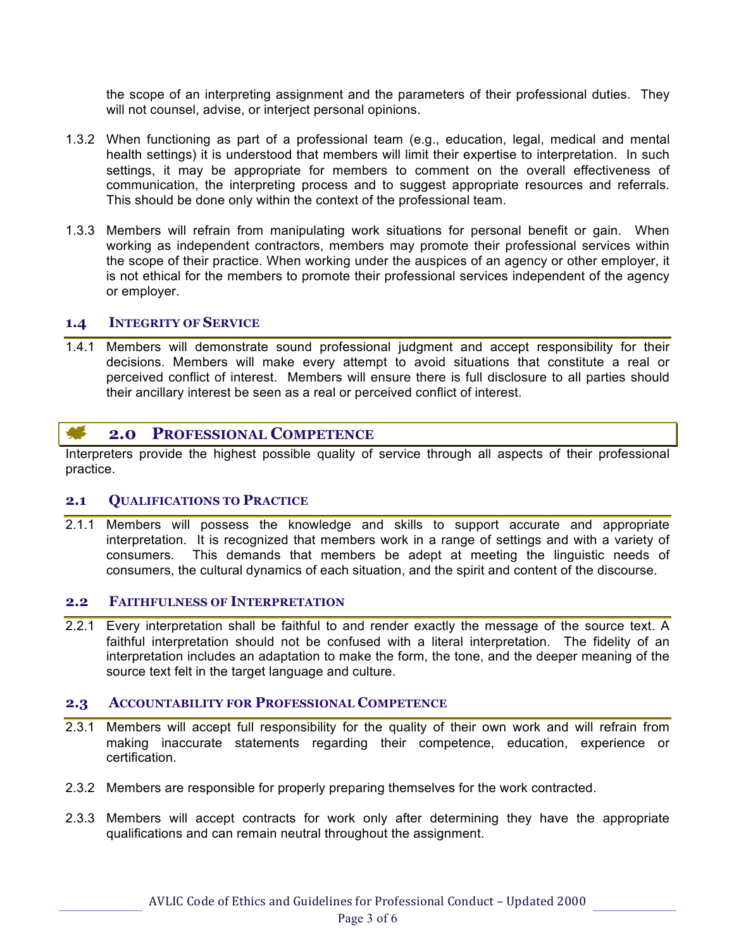the scope of an interpreting assignment and the parameters of their professional duties. They will not counsel, advise, or interject personal opinions.

- 1.3.2 When functioning as part of a professional team (e.g., education, legal, medical and mental health settings) it is understood that members will limit their expertise to interpretation. In such settings, it may be appropriate for members to comment on the overall effectiveness of communication, the interpreting process and to suggest appropriate resources and referrals. This should be done only within the context of the professional team.
- 1.3.3 Members will refrain from manipulating work situations for personal benefit or gain. When working as independent contractors, members may promote their professional services within the scope of their practice. When working under the auspices of an agency or other employer, it is not ethical for the members to promote their professional services independent of the agency or employer.

#### **1.4 INTEGRITY OF SERVICE**

1.4.1 Members will demonstrate sound professional judgment and accept responsibility for their decisions. Members will make every attempt to avoid situations that constitute a real or perceived conflict of interest. Members will ensure there is full disclosure to all parties should their ancillary interest be seen as a real or perceived conflict of interest.

#### <u>ar</u> **2.0 PROFESSIONAL COMPETENCE**

Interpreters provide the highest possible quality of service through all aspects of their professional practice.

#### **2.1 QUALIFICATIONS TO PRACTICE**

2.1.1 Members will possess the knowledge and skills to support accurate and appropriate interpretation. It is recognized that members work in a range of settings and with a variety of consumers. This demands that members be adept at meeting the linguistic needs of consumers, the cultural dynamics of each situation, and the spirit and content of the discourse.

#### **2.2 FAITHFULNESS OF INTERPRETATION**

2.2.1 Every interpretation shall be faithful to and render exactly the message of the source text. A faithful interpretation should not be confused with a literal interpretation. The fidelity of an interpretation includes an adaptation to make the form, the tone, and the deeper meaning of the source text felt in the target language and culture.

#### **2.3 ACCOUNTABILITY FOR PROFESSIONAL COMPETENCE**

- 2.3.1 Members will accept full responsibility for the quality of their own work and will refrain from making inaccurate statements regarding their competence, education, experience or certification.
- 2.3.2 Members are responsible for properly preparing themselves for the work contracted.
- 2.3.3 Members will accept contracts for work only after determining they have the appropriate qualifications and can remain neutral throughout the assignment.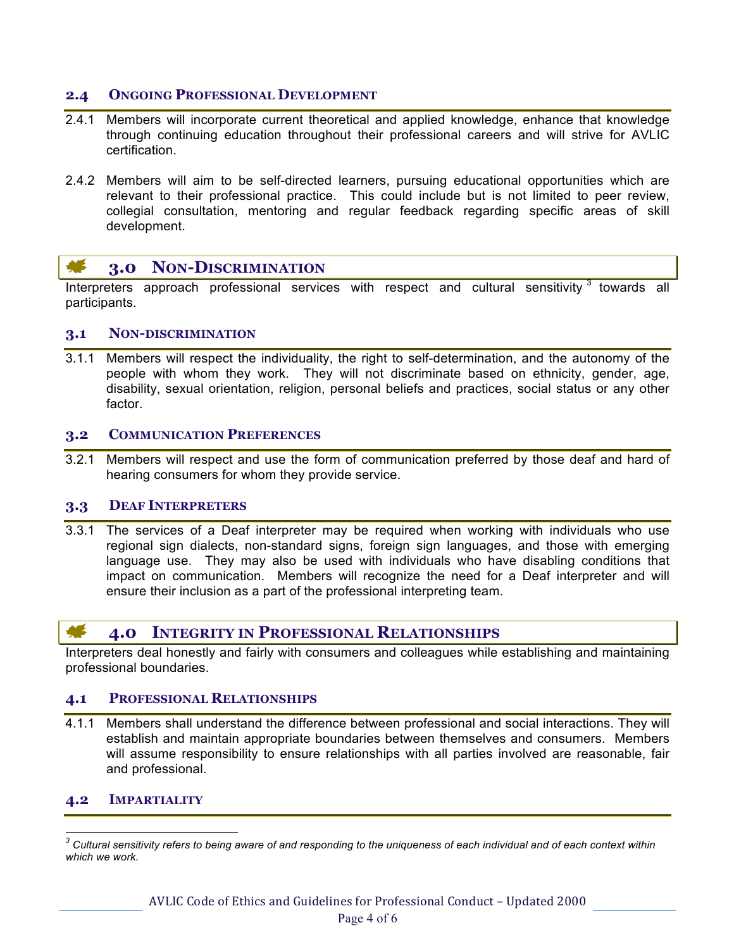### **2.4 ONGOING PROFESSIONAL DEVELOPMENT**

- 2.4.1 Members will incorporate current theoretical and applied knowledge, enhance that knowledge through continuing education throughout their professional careers and will strive for AVLIC certification.
- 2.4.2 Members will aim to be self-directed learners, pursuing educational opportunities which are relevant to their professional practice. This could include but is not limited to peer review, collegial consultation, mentoring and regular feedback regarding specific areas of skill development.

#### **AGE 3.0 NON-DISCRIMINATION**

Interpreters approach professional services with respect and cultural sensitivity  $3$  towards all participants.

#### **3.1 NON-DISCRIMINATION**

3.1.1 Members will respect the individuality, the right to self-determination, and the autonomy of the people with whom they work. They will not discriminate based on ethnicity, gender, age, disability, sexual orientation, religion, personal beliefs and practices, social status or any other factor.

#### **3.2 COMMUNICATION PREFERENCES**

3.2.1 Members will respect and use the form of communication preferred by those deaf and hard of hearing consumers for whom they provide service.

#### **3.3 DEAF INTERPRETERS**

3.3.1 The services of a Deaf interpreter may be required when working with individuals who use regional sign dialects, non-standard signs, foreign sign languages, and those with emerging language use. They may also be used with individuals who have disabling conditions that impact on communication. Members will recognize the need for a Deaf interpreter and will ensure their inclusion as a part of the professional interpreting team.

### **4.0 INTEGRITY IN PROFESSIONAL RELATIONSHIPS**

Interpreters deal honestly and fairly with consumers and colleagues while establishing and maintaining professional boundaries.

#### **4.1 PROFESSIONAL RELATIONSHIPS**

4.1.1 Members shall understand the difference between professional and social interactions. They will establish and maintain appropriate boundaries between themselves and consumers. Members will assume responsibility to ensure relationships with all parties involved are reasonable, fair and professional.

#### **4.2 IMPARTIALITY**

*<sup>3</sup> Cultural sensitivity refers to being aware of and responding to the uniqueness of each individual and of each context within which we work.*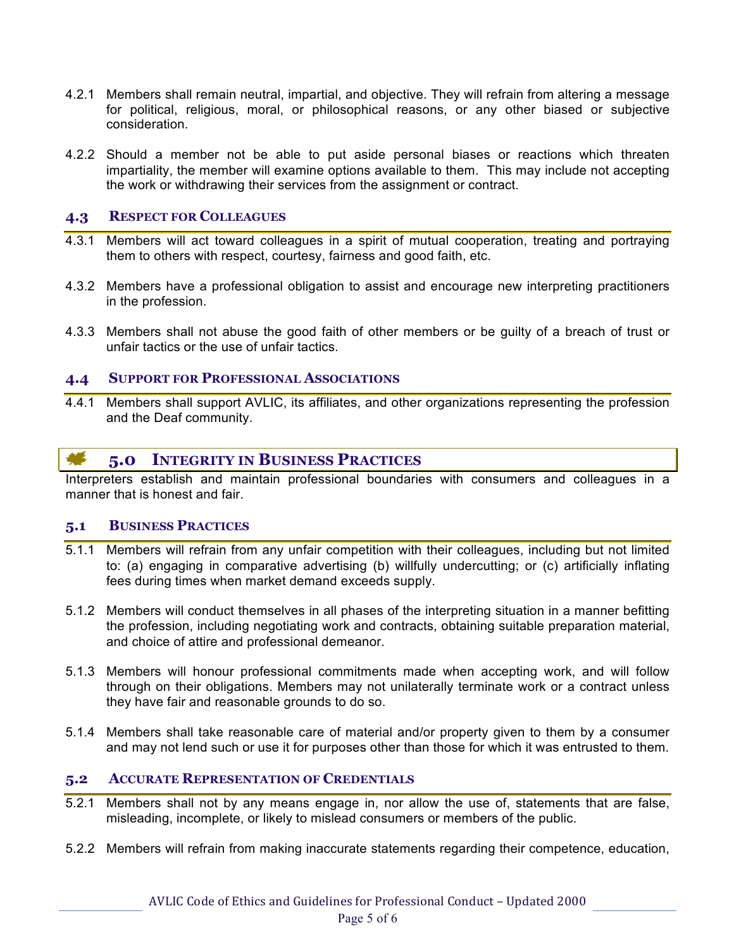- 4.2.1 Members shall remain neutral, impartial, and objective. They will refrain from altering a message for political, religious, moral, or philosophical reasons, or any other biased or subjective consideration.
- 4.2.2 Should a member not be able to put aside personal biases or reactions which threaten impartiality, the member will examine options available to them. This may include not accepting the work or withdrawing their services from the assignment or contract.

#### **4.3 RESPECT FOR COLLEAGUES**

- 4.3.1 Members will act toward colleagues in a spirit of mutual cooperation, treating and portraying them to others with respect, courtesy, fairness and good faith, etc.
- 4.3.2 Members have a professional obligation to assist and encourage new interpreting practitioners in the profession.
- 4.3.3 Members shall not abuse the good faith of other members or be guilty of a breach of trust or unfair tactics or the use of unfair tactics.

### **4.4 SUPPORT FOR PROFESSIONAL ASSOCIATIONS**

4.4.1 Members shall support AVLIC, its affiliates, and other organizations representing the profession and the Deaf community.

#### **ALC 5.0 INTEGRITY IN BUSINESS PRACTICES**

Interpreters establish and maintain professional boundaries with consumers and colleagues in a manner that is honest and fair.

#### **5.1 BUSINESS PRACTICES**

- 5.1.1 Members will refrain from any unfair competition with their colleagues, including but not limited to: (a) engaging in comparative advertising (b) willfully undercutting; or (c) artificially inflating fees during times when market demand exceeds supply.
- 5.1.2 Members will conduct themselves in all phases of the interpreting situation in a manner befitting the profession, including negotiating work and contracts, obtaining suitable preparation material, and choice of attire and professional demeanor.
- 5.1.3 Members will honour professional commitments made when accepting work, and will follow through on their obligations. Members may not unilaterally terminate work or a contract unless they have fair and reasonable grounds to do so.
- 5.1.4 Members shall take reasonable care of material and/or property given to them by a consumer and may not lend such or use it for purposes other than those for which it was entrusted to them.

#### **5.2 ACCURATE REPRESENTATION OF CREDENTIALS**

- 5.2.1 Members shall not by any means engage in, nor allow the use of, statements that are false, misleading, incomplete, or likely to mislead consumers or members of the public.
- 5.2.2 Members will refrain from making inaccurate statements regarding their competence, education,